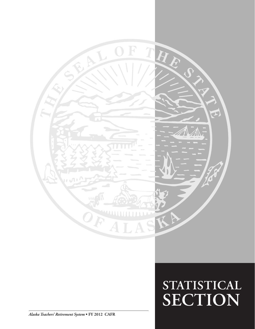

*Alaska Teachers' Retirement System* **• FY 2012 CAFR**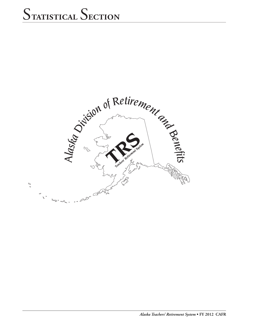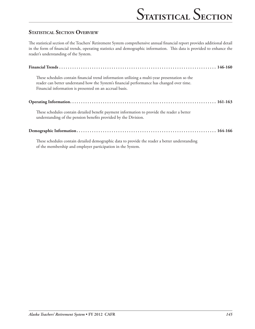### **Statistical Section Overview**

The statistical section of the Teachers' Retirement System comprehensive annual financial report provides additional detail in the form of financial trends, operating statistics and demographic information. This data is provided to enhance the reader's understanding of the System.

| These schedules contain financial trend information utilizing a multi-year presentation so the<br>reader can better understand how the System's financial performance has changed over time.<br>Financial information is presented on an accrual basis. |
|---------------------------------------------------------------------------------------------------------------------------------------------------------------------------------------------------------------------------------------------------------|
|                                                                                                                                                                                                                                                         |
| These schedules contain detailed benefit payment information to provide the reader a better<br>understanding of the pension benefits provided by the Division.                                                                                          |
|                                                                                                                                                                                                                                                         |
| These schedules contain detailed demographic data to provide the reader a better understanding<br>of the membership and employer participation in the System.                                                                                           |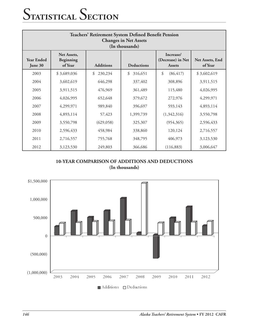| Teachers' Retirement System Defined Benefit Pension<br><b>Changes in Net Assets</b><br>(In thousands) |                                     |                  |                   |                                                 |                            |  |
|-------------------------------------------------------------------------------------------------------|-------------------------------------|------------------|-------------------|-------------------------------------------------|----------------------------|--|
| <b>Year Ended</b><br>June 30                                                                          | Net Assets,<br>Beginning<br>of Year | <b>Additions</b> | <b>Deductions</b> | Increase/<br>(Decrease) in Net<br><b>Assets</b> | Net Assets, End<br>of Year |  |
| 2003                                                                                                  | \$3,689,036                         | 230,234<br>\$    | \$<br>316,651     | \$<br>(86, 417)                                 | \$3,602,619                |  |
| 2004                                                                                                  | 3,602,619                           | 646,298          | 337,402           | 308,896                                         | 3,911,515                  |  |
| 2005                                                                                                  | 3,911,515                           | 476,969          | 361,489           | 115,480                                         | 4,026,995                  |  |
| 2006                                                                                                  | 4,026,995                           | 652,648          | 379,672           | 272,976                                         | 4,299,971                  |  |
| 2007                                                                                                  | 4,299,971                           | 989,840          | 396,697           | 593,143                                         | 4,893,114                  |  |
| 2008                                                                                                  | 4,893,114                           | 57,423           | 1,399,739         | (1,342,316)                                     | 3,550,798                  |  |
| 2009                                                                                                  | 3,550,798                           | (629, 058)       | 325,307           | (954, 365)                                      | 2,596,433                  |  |
| 2010                                                                                                  | 2,596,433                           | 458,984          | 338,860           | 120,124                                         | 2,716,557                  |  |
| 2011                                                                                                  | 2,716,557                           | 755,768          | 348,795           | 406,973                                         | 3,123,530                  |  |
| 2012                                                                                                  | 3,123,530                           | 249,803          | 366,686           | (116, 883)                                      | 3,006,647                  |  |

**10-YEAR COMPARISON OF ADDITIONS AND DEDUCTIONS (In thousands)**

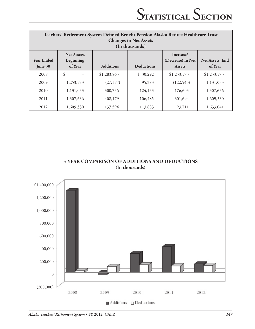| Teachers' Retirement System Defined Benefit Pension Alaska Retiree Healthcare Trust<br><b>Changes in Net Assets</b><br>(In thousands) |                                     |                  |                   |                                                 |                                   |
|---------------------------------------------------------------------------------------------------------------------------------------|-------------------------------------|------------------|-------------------|-------------------------------------------------|-----------------------------------|
| <b>Year Ended</b><br>June 30                                                                                                          | Net Assets,<br>Beginning<br>of Year | <b>Additions</b> | <b>Deductions</b> | Increase/<br>(Decrease) in Net<br><b>Assets</b> | <b>Net Assets, End</b><br>of Year |
| 2008                                                                                                                                  | \$                                  | \$1,283,865      | \$30,292          | \$1,253,573                                     | \$1,253,573                       |
| 2009                                                                                                                                  | 1,253,573                           | (27, 157)        | 95,383            | (122, 540)                                      | 1,131,033                         |
| 2010                                                                                                                                  | 1,131,033                           | 300,736          | 124,133           | 176,603                                         | 1,307,636                         |
| 2011                                                                                                                                  | 1,307,636                           | 408,179          | 106,485           | 301,694                                         | 1,609,330                         |
| 2012                                                                                                                                  | 1,609,330                           | 137,594          | 113,883           | 23,711                                          | 1,633,041                         |

#### **5-YEAR COMPARISON OF ADDITIONS AND DEDUCTIONS (In thousands)**

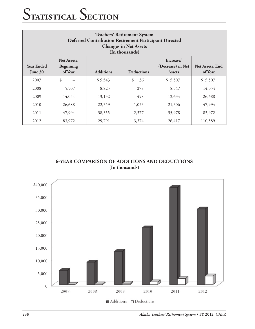| <b>Teachers' Retirement System</b><br><b>Deferred Contribution Retirement Participant Directed</b><br><b>Changes in Net Assets</b><br>(In thousands)                                                 |        |         |          |         |         |
|------------------------------------------------------------------------------------------------------------------------------------------------------------------------------------------------------|--------|---------|----------|---------|---------|
| Increase/<br>Net Assets,<br><b>Year Ended</b><br>(Decrease) in Net<br>Net Assets, End<br><b>Beginning</b><br><b>Additions</b><br>of Year<br><b>Deductions</b><br>of Year<br>June 30<br><b>Assets</b> |        |         |          |         |         |
| 2007                                                                                                                                                                                                 | \$     | \$5,543 | \$<br>36 | \$5,507 | \$5,507 |
| 2008                                                                                                                                                                                                 | 5,507  | 8,825   | 278      | 8,547   | 14,054  |
| 2009                                                                                                                                                                                                 | 14,054 | 13,132  | 498      | 12,634  | 26,688  |
| 2010                                                                                                                                                                                                 | 26,688 | 22,359  | 1,053    | 21,306  | 47,994  |
| 2011                                                                                                                                                                                                 | 47,994 | 38,355  | 2,377    | 35,978  | 83,972  |
| 2012                                                                                                                                                                                                 | 83,972 | 29,791  | 3,374    | 26,417  | 110,389 |

**6-YEAR COMPARISON OF additions and deductions (In thousands)**

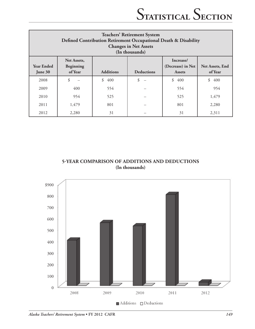| <b>Teachers' Retirement System</b><br>Defined Contribution Retirement Occupational Death & Disability<br><b>Changes in Net Assets</b><br>(In thousands)                    |       |           |    |           |                 |
|----------------------------------------------------------------------------------------------------------------------------------------------------------------------------|-------|-----------|----|-----------|-----------------|
| Net Assets,<br>Increase/<br><b>Year Ended</b><br>(Decrease) in Net<br>Beginning<br><b>Additions</b><br>of Year<br><b>Deductions</b><br>of Year<br>June 30<br><b>Assets</b> |       |           |    |           | Net Assets, End |
| 2008                                                                                                                                                                       | \$    | \$<br>400 | \$ | \$<br>400 | \$<br>400       |
| 2009                                                                                                                                                                       | 400   | 554       |    | 554       | 954             |
| 2010                                                                                                                                                                       | 954   | 525       |    | 525       | 1,479           |
| 2011                                                                                                                                                                       | 1,479 | 801       |    | 801       | 2,280           |
| 2012                                                                                                                                                                       | 2,280 | 31        |    | 31        | 2,311           |

**5-YEAR COMPARISON OF additions and deductions (In thousands)**



*Alaska Teachers' Retirement System* **• FY 2012 CAFR** *149*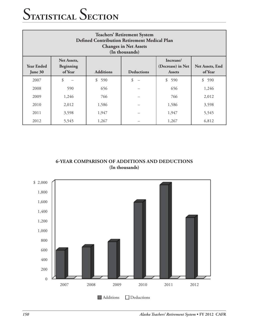| <b>Teachers' Retirement System</b><br><b>Defined Contribution Retirement Medical Plan</b><br><b>Changes in Net Assets</b><br>(In thousands) |                                                                                                                                                               |           |    |           |       |  |
|---------------------------------------------------------------------------------------------------------------------------------------------|---------------------------------------------------------------------------------------------------------------------------------------------------------------|-----------|----|-----------|-------|--|
| <b>Year Ended</b><br>June 30                                                                                                                | Increase/<br>Net Assets,<br>(Decrease) in Net<br>Net Assets, End<br>Beginning<br>of Year<br><b>Additions</b><br><b>Deductions</b><br>of Year<br><b>Assets</b> |           |    |           |       |  |
| 2007                                                                                                                                        | \$                                                                                                                                                            | \$<br>590 | \$ | \$<br>590 | \$590 |  |
| 2008                                                                                                                                        | 590                                                                                                                                                           | 656       |    | 656       | 1,246 |  |
| 2009                                                                                                                                        | 1,246                                                                                                                                                         | 766       |    | 766       | 2,012 |  |
| 2010                                                                                                                                        | 2,012                                                                                                                                                         | 1,586     |    | 1,586     | 3,598 |  |
| 2011                                                                                                                                        | 3,598                                                                                                                                                         | 1,947     |    | 1,947     | 5,545 |  |
| 2012                                                                                                                                        | 5,545                                                                                                                                                         | 1,267     |    | 1,267     | 6,812 |  |

**6-YEAR COMPARISON OF additions and deductions (In thousands)**



*150 Alaska Teachers' Retirement System* **• FY 2012 CAFR**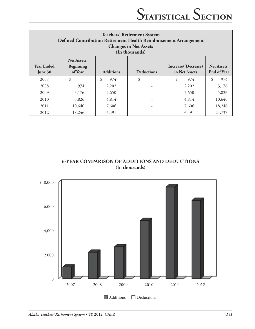| <b>Teachers' Retirement System</b><br>Defined Contribution Retirement Health Reimbursement Arrangement<br><b>Changes in Net Assets</b><br>(In thousands) |                                     |                  |                   |                                      |                                   |
|----------------------------------------------------------------------------------------------------------------------------------------------------------|-------------------------------------|------------------|-------------------|--------------------------------------|-----------------------------------|
| <b>Year Ended</b><br>June 30                                                                                                                             | Net Assets,<br>Beginning<br>of Year | <b>Additions</b> | <b>Deductions</b> | Increase/(Decrease)<br>in Net Assets | Net Assets.<br><b>End of Year</b> |
| 2007                                                                                                                                                     | \$                                  | \$<br>974        | \$                | \$<br>974                            | \$<br>974                         |
| 2008                                                                                                                                                     | 974                                 | 2,202            |                   | 2,202                                | 3,176                             |
| 2009                                                                                                                                                     | 3,176                               | 2,650            |                   | 2,650                                | 5,826                             |
| 2010                                                                                                                                                     | 5,826                               | 4,814            |                   | 4,814                                | 10,640                            |
| 2011                                                                                                                                                     | 10,640                              | 7,606            |                   | 7,606                                | 18,246                            |
| 2012                                                                                                                                                     | 18,246                              | 6,491            |                   | 6,491                                | 24,737                            |

**6-YEAR COMPARISON OF additions and deductions (In thousands)**

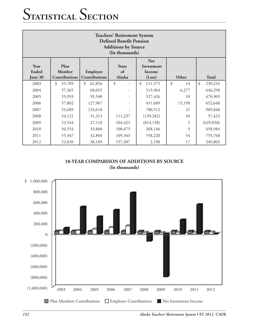| <b>Teachers' Retirement System</b><br><b>Defined Benefit Pension</b><br><b>Additions by Source</b><br>(In thousands)                                                                                     |              |              |         |               |          |               |
|----------------------------------------------------------------------------------------------------------------------------------------------------------------------------------------------------------|--------------|--------------|---------|---------------|----------|---------------|
| <b>Net</b><br>Year<br>Plan<br><b>State</b><br>Investment<br><b>Ended</b><br>Member<br>Employer<br>of<br>Income<br>Contributions<br>Alaska<br>Other<br><b>Total</b><br>Contributions<br>June 30<br>(Loss) |              |              |         |               |          |               |
| 2003                                                                                                                                                                                                     | \$<br>55,789 | \$<br>62,856 | \$      | \$<br>111,575 | \$<br>14 | \$<br>230,234 |
| 2004                                                                                                                                                                                                     | 57,365       | 68,692       |         | 513,964       | 6,277    | 646,298       |
| 2005                                                                                                                                                                                                     | 55,993       | 93,540       |         | 327,426       | 10       | 476,969       |
| 2006                                                                                                                                                                                                     | 57,802       | 127,967      |         | 451,689       | 15,190   | 652,648       |
| 2007                                                                                                                                                                                                     | 55,689       | 153,618      |         | 780,512       | 21       | 989,840       |
| 2008                                                                                                                                                                                                     | 54,121       | 31,313       | 111,237 | (139, 282)    | 34       | 57,423        |
| 2009                                                                                                                                                                                                     | 53,544       | 27,110       | 104,423 | (814, 138)    | 3        | (629, 058)    |
| 2010                                                                                                                                                                                                     | 56,554       | 33,800       | 100,475 | 268,146       | 9        | 458,984       |
| 2011                                                                                                                                                                                                     | 55,347       | 32,804       | 109,343 | 558,220       | 54       | 755,768       |
| 2012                                                                                                                                                                                                     | 52,020       | 38,189       | 157,387 | 2,190         | 17       | 249,803       |

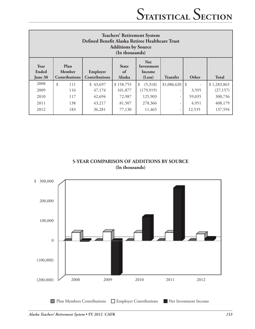| <b>Teachers' Retirement System</b><br>Defined Benefit Alaska Retiree Healthcare Trust<br><b>Additions by Source</b><br>(In thousands) |                                        |                                  |                                     |                                              |                 |        |              |
|---------------------------------------------------------------------------------------------------------------------------------------|----------------------------------------|----------------------------------|-------------------------------------|----------------------------------------------|-----------------|--------|--------------|
| Year<br>Ended<br>June 30                                                                                                              | Plan<br>Member<br><b>Contributions</b> | Employer<br><b>Contributions</b> | <b>State</b><br>of<br><b>Alaska</b> | <b>Net</b><br>Investment<br>Income<br>(Loss) | <b>Transfer</b> | Other  | <b>Total</b> |
| 2008                                                                                                                                  | \$<br>111                              | \$43,697                         | \$158,755                           | (5,318)<br>\$                                | \$1,086,620     | l \$   | \$1,283,865  |
| 2009                                                                                                                                  | 116                                    | 47,174                           | 101,877                             | (179, 919)                                   |                 | 3,595  | (27, 157)    |
| 2010                                                                                                                                  | 117                                    | 42,694                           | 72,987                              | 125,903                                      |                 | 59,035 | 300,736      |
| 2011                                                                                                                                  | 138                                    | 43,217                           | 81,507                              | 278,366                                      |                 | 4,951  | 408,179      |
| 2012                                                                                                                                  | 183                                    | 36,281                           | 77,130                              | 11,465                                       | -               | 12,535 | 137,594      |

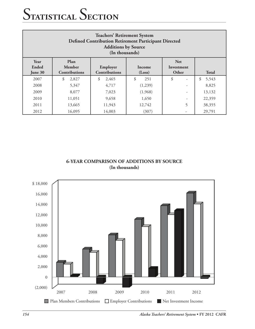| <b>Teachers' Retirement System</b><br><b>Defined Contribution Retirement Participant Directed</b><br><b>Additions by Source</b><br>(In thousands) |                                        |                                  |                  |                                   |              |
|---------------------------------------------------------------------------------------------------------------------------------------------------|----------------------------------------|----------------------------------|------------------|-----------------------------------|--------------|
| Year<br>Ended<br>June 30                                                                                                                          | Plan<br>Member<br><b>Contributions</b> | Employer<br><b>Contributions</b> | Income<br>(Loss) | <b>Net</b><br>Investment<br>Other | <b>Total</b> |
| 2007                                                                                                                                              | 2,827<br>S.                            | 2,465<br>\$                      | \$<br>251        | \$<br>$\overline{a}$              | \$<br>5,543  |
| 2008                                                                                                                                              | 5,347                                  | 4,717                            | (1,239)          | -                                 | 8,825        |
| 2009                                                                                                                                              | 8,077                                  | 7,023                            | (1,968)          |                                   | 13,132       |
| 2010                                                                                                                                              | 11,051                                 | 9,658                            | 1,650            |                                   | 22,359       |
| 2011                                                                                                                                              | 13,665                                 | 11,943                           | 12,742           | 5                                 | 38,355       |
| 2012                                                                                                                                              | 16,095                                 | 14,003                           | (307)            |                                   | 29,791       |

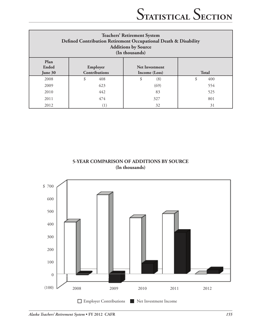| <b>Teachers' Retirement System</b><br>Defined Contribution Retirement Occupational Death & Disability<br><b>Additions by Source</b><br>(In thousands) |                                  |                                        |              |  |  |  |
|-------------------------------------------------------------------------------------------------------------------------------------------------------|----------------------------------|----------------------------------------|--------------|--|--|--|
| Plan<br>Ended<br>June 30                                                                                                                              | Employer<br><b>Contributions</b> | <b>Net Investment</b><br>Income (Loss) | <b>Total</b> |  |  |  |
| 2008                                                                                                                                                  | \$<br>408                        | \$<br>(8)                              | \$<br>400    |  |  |  |
| 2009                                                                                                                                                  | 623                              | (69)                                   | 554          |  |  |  |
| 2010                                                                                                                                                  | 442                              | 83                                     | 525          |  |  |  |
| 2011                                                                                                                                                  | 474                              | 327                                    | 801          |  |  |  |
| 2012                                                                                                                                                  |                                  | 32                                     | 31           |  |  |  |

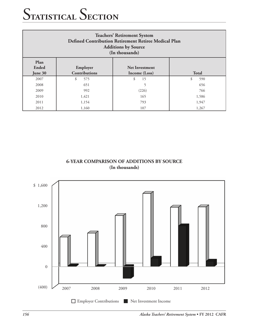| <b>Teachers' Retirement System</b><br>Defined Contribution Retirement Retiree Medical Plan<br><b>Additions by Source</b><br>(In thousands) |              |          |           |  |  |  |
|--------------------------------------------------------------------------------------------------------------------------------------------|--------------|----------|-----------|--|--|--|
| Plan<br>Ended<br>June 30                                                                                                                   | <b>Total</b> |          |           |  |  |  |
| 2007                                                                                                                                       | \$<br>575    | \$<br>15 | \$<br>590 |  |  |  |
| 2008                                                                                                                                       | 651          |          | 656       |  |  |  |
| 2009                                                                                                                                       | 992          | (226)    | 766       |  |  |  |
| 2010                                                                                                                                       | 1,421        | 165      | 1,586     |  |  |  |
| 2011                                                                                                                                       | 1,154        | 793      | 1,947     |  |  |  |
| 2012                                                                                                                                       | 1,160        | 107      | 1,267     |  |  |  |

**6-YEAR COMPARISON OF ADDITIONS BY SOURCE (In thousands)**



*156 Alaska Teachers' Retirement System* **• FY 2012 CAFR**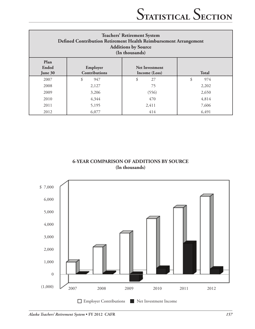| <b>Teachers' Retirement System</b><br>Defined Contribution Retirement Health Reimbursement Arrangement<br><b>Additions by Source</b><br>(In thousands) |           |          |           |  |  |  |  |
|--------------------------------------------------------------------------------------------------------------------------------------------------------|-----------|----------|-----------|--|--|--|--|
| Plan<br>Ended<br>Employer<br><b>Net Investment</b><br><b>Contributions</b><br><b>Total</b><br>June 30<br>Income (Loss)                                 |           |          |           |  |  |  |  |
| 2007                                                                                                                                                   | 947<br>\$ | \$<br>27 | \$<br>974 |  |  |  |  |
| 2008                                                                                                                                                   | 2,127     | 75       | 2,202     |  |  |  |  |
| 2009                                                                                                                                                   | 3,206     | (556)    | 2,650     |  |  |  |  |
| 2010                                                                                                                                                   | 4,344     | 470      | 4,814     |  |  |  |  |
| 2011                                                                                                                                                   | 5,195     | 2,411    | 7,606     |  |  |  |  |
| 2012                                                                                                                                                   | 6,077     | 414      | 6,491     |  |  |  |  |

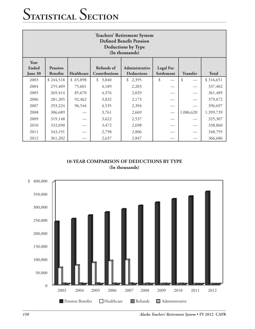| <b>Teachers' Retirement System</b><br><b>Defined Benefit Pension</b><br><b>Deductions by Type</b><br>(In thousands)                                                          |           |          |             |             |    |                 |              |  |
|------------------------------------------------------------------------------------------------------------------------------------------------------------------------------|-----------|----------|-------------|-------------|----|-----------------|--------------|--|
| Year<br>Refunds of<br>Ended<br><b>Legal Fee</b><br>Pension<br>Administrative<br>Healthcare<br>Contributions<br>Settlement<br><b>Benefits</b><br><b>Deductions</b><br>June 30 |           |          |             |             |    | <b>Transfer</b> | <b>Total</b> |  |
| 2003                                                                                                                                                                         | \$244,518 | \$65,898 | \$<br>3,840 | \$<br>2,395 | \$ | \$              | \$316,651    |  |
| 2004                                                                                                                                                                         | 255,409   | 75,601   | 4,189       | 2,203       |    |                 | 337,402      |  |
| 2005                                                                                                                                                                         | 269,414   | 85,670   | 4,376       | 2,029       |    |                 | 361,489      |  |
| 2006                                                                                                                                                                         | 281,205   | 92,462   | 3,832       | 2,173       |    |                 | 379,672      |  |
| 2007                                                                                                                                                                         | 293,224   | 96,544   | 4,535       | 2,394       |    |                 | 396,697      |  |
| 2008                                                                                                                                                                         | 306,689   |          | 3,761       | 2,669       |    | 1,086,620       | 1,399,739    |  |
| 2009                                                                                                                                                                         | 319,148   |          | 3,622       | 2,537       |    |                 | 325,307      |  |
| 2010                                                                                                                                                                         | 332,690   |          | 3,472       | 2,698       |    |                 | 338,860      |  |
| 2011                                                                                                                                                                         | 343,191   |          | 2,798       | 2,806       |    |                 | 348,795      |  |
| 2012                                                                                                                                                                         | 361,202   |          | 2,637       | 2,847       |    |                 | 366,686      |  |

#### **10-YEAR COMPARISON OF DEDUCTIONS BY TYPE (In thousands)**

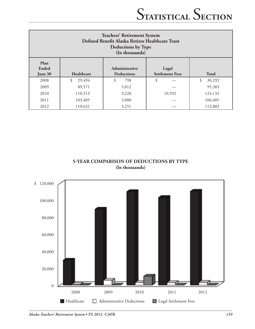| <b>Teachers' Retirement System</b><br>Defined Benefit Alaska Retiree Healthcare Trust<br><b>Deductions by Type</b><br>(In thousands) |              |                                     |                                 |              |  |  |
|--------------------------------------------------------------------------------------------------------------------------------------|--------------|-------------------------------------|---------------------------------|--------------|--|--|
| Plan<br>Ended<br>June 30                                                                                                             | Healthcare   | Administrative<br><b>Deductions</b> | Legal<br><b>Settlement Fees</b> | <b>Total</b> |  |  |
| 2008                                                                                                                                 | 29,494<br>\$ | \$<br>798                           | \$                              | \$<br>30,292 |  |  |
| 2009                                                                                                                                 | 89,571       | 5,812                               |                                 | 95,383       |  |  |
| 2010                                                                                                                                 | 110,313      | 3,228                               | 10,592                          | 124,133      |  |  |
| 2011                                                                                                                                 | 103,405      | 3,080                               |                                 | 106,485      |  |  |
| 2012                                                                                                                                 | 110,632      | 3,251                               |                                 | 113,883      |  |  |

**5-YEAR COMPARISON OF deductions BY TYPE (In thousands)**

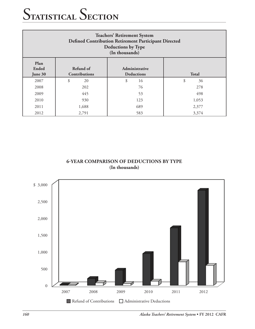| <b>Teachers' Retirement System</b><br>Defined Contribution Retirement Participant Directed<br>Deductions by Type<br>(In thousands) |          |          |          |  |  |  |  |
|------------------------------------------------------------------------------------------------------------------------------------|----------|----------|----------|--|--|--|--|
| Plan<br>Refund of<br>Ended<br>Administrative<br><b>Contributions</b><br><b>Deductions</b><br><b>Total</b><br>June 30               |          |          |          |  |  |  |  |
| 2007                                                                                                                               | \$<br>20 | \$<br>16 | \$<br>36 |  |  |  |  |
| 2008                                                                                                                               | 202      | 76       | 278      |  |  |  |  |
| 2009                                                                                                                               | 445      | 53       | 498      |  |  |  |  |
| 2010                                                                                                                               | 930      | 123      | 1,053    |  |  |  |  |
| 2011                                                                                                                               | 1,688    | 689      | 2,377    |  |  |  |  |
| 2012                                                                                                                               | 2,791    | 583      | 3,374    |  |  |  |  |

#### **6-YEAR COMPARISON OF DEductions BY TYPE (In thousands)**

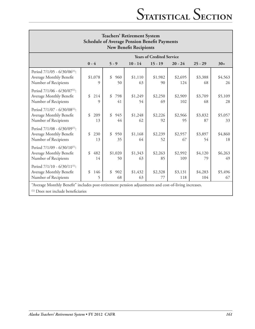| <b>Teachers' Retirement System</b><br><b>Schedule of Average Pension Benefit Payments</b><br><b>New Benefit Recipients</b> |                 |                 |               |                                  |                |                |               |
|----------------------------------------------------------------------------------------------------------------------------|-----------------|-----------------|---------------|----------------------------------|----------------|----------------|---------------|
|                                                                                                                            |                 |                 |               | <b>Years of Credited Service</b> |                |                |               |
|                                                                                                                            | $0 - 4$         | $5 - 9$         | $10 - 14$     | $15 - 19$                        | $20 - 24$      | $25 - 29$      | $30+$         |
| Period 7/1/05 - 6/30/06 <sup>(1)</sup> :<br>Average Monthly Benefit<br>Number of Recipients                                | \$1,078<br>9    | \$<br>960<br>50 | \$1,110<br>63 | \$1,982<br>90                    | \$2,695<br>124 | \$3,388<br>68  | \$4,563<br>26 |
| Period 7/1/06 - 6/30/07 <sup>(1)</sup> :<br>Average Monthly Benefit<br>Number of Recipients                                | \$<br>214<br>9  | \$<br>798<br>41 | \$1,249<br>54 | \$2,250<br>69                    | \$2,909<br>102 | \$3,709<br>68  | \$5,109<br>28 |
| Period 7/1/07 - 6/30/08 <sup>(1)</sup> :<br>Average Monthly Benefit<br>Number of Recipients                                | \$<br>209<br>13 | \$<br>945<br>44 | \$1,248<br>62 | \$2,226<br>92                    | \$2,966<br>95  | \$3,832<br>87  | \$5,057<br>33 |
| Period 7/1/08 - 6/30/09 <sup>(1)</sup> :<br>Average Monthly Benefit<br>Number of Recipients                                | \$<br>230<br>13 | \$<br>950<br>35 | \$1,168<br>64 | \$2,239<br>52                    | \$2,957<br>67  | \$3,897<br>54  | \$4,860<br>18 |
| Period $7/1/09 - 6/30/10^{(1)}$ :<br>Average Monthly Benefit<br>Number of Recipients                                       | \$<br>482<br>14 | \$1,020<br>50   | \$1,343<br>63 | \$2,263<br>85                    | \$2,992<br>109 | \$4,120<br>79  | \$6,263<br>49 |
| Period 7/1/10 - 6/30/11 <sup>(1)</sup> :<br>Average Monthly Benefit<br>Number of Recipients                                | \$<br>146<br>5  | \$<br>902<br>68 | \$1,432<br>63 | \$2,328<br>77                    | \$3,131<br>118 | \$4,283<br>104 | \$5,496<br>67 |
| "Average Monthly Benefit" includes post-retirement pension adjustments and cost-of-living increases.                       |                 |                 |               |                                  |                |                |               |

(1) Does not include beneficiaries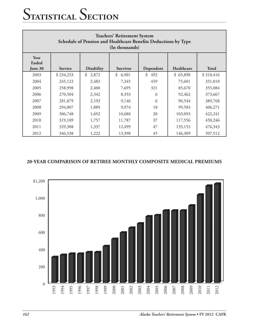| <b>Teachers' Retirement System</b><br>Schedule of Pension and Healthcare Benefits Deductions by Type<br>(In thousands) |                |                   |                        |           |            |              |  |
|------------------------------------------------------------------------------------------------------------------------|----------------|-------------------|------------------------|-----------|------------|--------------|--|
| Year<br>Ended<br>June 30                                                                                               | <b>Service</b> | <b>Disability</b> | <b>Survivor</b>        | Dependent | Healthcare | <b>Total</b> |  |
| 2003                                                                                                                   | \$234,253      | \$<br>2,872       | $\mathcal{S}$<br>6,901 | \$<br>492 | \$65,898   | \$310,416    |  |
| 2004                                                                                                                   | 245,122        | 2,483             | 7,345                  | 459       | 75,601     | 331,010      |  |
| 2005                                                                                                                   | 258,998        | 2,400             | 7,695                  | 321       | 85,670     | 355,084      |  |
| 2006                                                                                                                   | 270,504        | 2,342             | 8,353                  | 6         | 92,462     | 373,667      |  |
| 2007                                                                                                                   | 281,879        | 2,193             | 9,146                  | 6         | 96,544     | 389,768      |  |
| 2008                                                                                                                   | 294,807        | 1,889             | 9,974                  | 18        | 99,583     | 406,271      |  |
| 2009                                                                                                                   | 306,748        | 1,692             | 10,688                 | 20        | 103,093    | 422,241      |  |
| 2010                                                                                                                   | 319,109        | 1,757             | 11,787                 | 37        | 117,556    | 450,246      |  |
| 2011                                                                                                                   | 329,308        | 1,337             | 12,499                 | 47        | 133,152    | 476,343      |  |
| 2012                                                                                                                   | 346,538        | 1,222             | 13,398                 | 45        | 146,309    | 507,512      |  |

#### **20-YEAR COMPARISON OF RETIREE MONTHLY Composite Medical PREMIUMS**

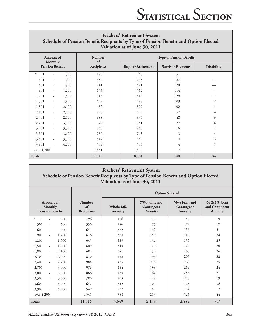| <b>Teachers' Retirement System</b><br>Schedule of Pension Benefit Recipients by Type of Pension Benefit and Option Elected<br>Valuation as of June 30, 2011 |                          |       |                     |                           |                                |                   |  |
|-------------------------------------------------------------------------------------------------------------------------------------------------------------|--------------------------|-------|---------------------|---------------------------|--------------------------------|-------------------|--|
|                                                                                                                                                             | Amount of<br>Monthly     |       | <b>Number</b><br>of |                           | <b>Type of Pension Benefit</b> |                   |  |
|                                                                                                                                                             | <b>Pension Benefit</b>   |       | Recipients          | <b>Regular Retirement</b> | <b>Survivor Payments</b>       | <b>Disability</b> |  |
| \$                                                                                                                                                          |                          | 300   | 196                 | 145                       | 51                             |                   |  |
| 301                                                                                                                                                         | $\overline{\phantom{a}}$ | 600   | 350                 | 263                       | 87                             |                   |  |
| 601                                                                                                                                                         | $\overline{\phantom{a}}$ | 900   | 641                 | 521                       | 120                            |                   |  |
| 901                                                                                                                                                         | $\overline{\phantom{a}}$ | 1,200 | 676                 | 562                       | 114                            |                   |  |
| 1,201                                                                                                                                                       | $\overline{\phantom{a}}$ | 1,500 | 645                 | 516                       | 129                            |                   |  |
| 1,501                                                                                                                                                       | $\overline{\phantom{a}}$ | 1,800 | 609                 | 498                       | 109                            | $\overline{2}$    |  |
| 1,801                                                                                                                                                       | $\overline{\phantom{a}}$ | 2,100 | 682                 | 579                       | 102                            | 1                 |  |
| 2,101                                                                                                                                                       | $\overline{\phantom{a}}$ | 2,400 | 870                 | 809                       | 57                             | 4                 |  |
| 2,401                                                                                                                                                       | $\overline{\phantom{a}}$ | 2,700 | 988                 | 934                       | 48                             | 6                 |  |
| 2,701                                                                                                                                                       | $\overline{\phantom{a}}$ | 3,000 | 976                 | 941                       | 27                             | 8                 |  |
| 3,001                                                                                                                                                       | $\overline{\phantom{a}}$ | 3,300 | 866                 | 846                       | 16                             | 4                 |  |
| 3,301                                                                                                                                                       | $\overline{\phantom{a}}$ | 3,600 | 780                 | 763                       | 13                             | 4                 |  |
| 3,601                                                                                                                                                       | $\overline{\phantom{a}}$ | 3,900 | 647                 | 640                       | 4                              | 3                 |  |
| 3,901                                                                                                                                                       | $\overline{\phantom{a}}$ | 4,200 | 549                 | 544                       | 4                              |                   |  |
| over 4,200                                                                                                                                                  |                          |       | 1,541               | 1,533                     | 7                              | 1                 |  |
| Totals                                                                                                                                                      |                          |       | 11,016              | 10,094                    | 888                            | 34                |  |

#### **Teachers' Retirement System Schedule of Pension Benefit Recipients by Type of Pension Benefit and Option Elected Valuation as of June 30, 2011**

|                                            |                          |       |                                   | <b>Option Selected</b>              |                                        |                                        |                                            |  |  |
|--------------------------------------------|--------------------------|-------|-----------------------------------|-------------------------------------|----------------------------------------|----------------------------------------|--------------------------------------------|--|--|
| <b>Amount</b> of<br><b>Pension Benefit</b> | Monthly                  |       | <b>Number</b><br>of<br>Recipients | <b>Whole Life</b><br><b>Annuity</b> | 75% Joint and<br>Contingent<br>Annuity | 50% Joint and<br>Contingent<br>Annuity | 66 2/3% Joint<br>and Contingent<br>Annuity |  |  |
| \$<br>$\overline{1}$                       | ÷                        | 300   | 196                               | 116                                 | 39                                     | 32                                     | 9                                          |  |  |
| 301                                        | $\frac{1}{2}$            | 600   | 350                               | 186                                 | 75                                     | 72                                     | 17                                         |  |  |
| 601                                        | ٠                        | 900   | 641                               | 332                                 | 142                                    | 136                                    | 31                                         |  |  |
| 901                                        | $\overline{\phantom{a}}$ | 1,200 | 676                               | 373                                 | 153                                    | 116                                    | 34                                         |  |  |
| 1,201                                      | $\sim$                   | 1,500 | 645                               | 339                                 | 146                                    | 135                                    | 25                                         |  |  |
| 1,501                                      | ÷.                       | 1,800 | 609                               | 345                                 | 120                                    | 124                                    | 20                                         |  |  |
| 1,801                                      | $\overline{\phantom{a}}$ | 2,100 | 682                               | 341                                 | 150                                    | 165                                    | 26                                         |  |  |
| 2,101                                      | $\overline{\phantom{a}}$ | 2,400 | 870                               | 438                                 | 193                                    | 207                                    | 32                                         |  |  |
| 2,401                                      | $\omega$                 | 2,700 | 988                               | 475                                 | 228                                    | 260                                    | 25                                         |  |  |
| 2,701                                      | $\sim$                   | 3,000 | 976                               | 484                                 | 199                                    | 269                                    | 24                                         |  |  |
| 3,001                                      | $\sim$                   | 3,300 | 866                               | 425                                 | 162                                    | 258                                    | 21                                         |  |  |
| 3,301                                      | $\overline{\phantom{a}}$ | 3,600 | 780                               | 408                                 | 128                                    | 225                                    | 19                                         |  |  |
| 3,601                                      | $\sim$                   | 3,900 | 647                               | 352                                 | 109                                    | 173                                    | 13                                         |  |  |
| 3,901                                      | $\overline{\phantom{a}}$ | 4,200 | 549                               | 277                                 | 81                                     | 184                                    | 7                                          |  |  |
| over 4,200                                 |                          |       | 1,541                             | 758                                 | 213                                    | 526                                    | 44                                         |  |  |
| Totals                                     |                          |       | 11,016                            | 5,649                               | 2,138                                  | 2,882                                  | 347                                        |  |  |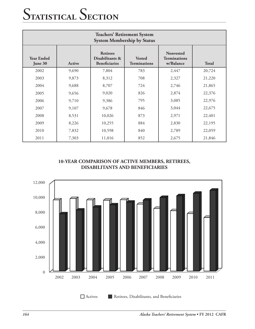| <b>Teachers' Retirement System</b><br><b>System Membership by Status</b> |        |                                                            |                                      |                                                      |              |  |  |
|--------------------------------------------------------------------------|--------|------------------------------------------------------------|--------------------------------------|------------------------------------------------------|--------------|--|--|
| <b>Year Ended</b><br>June 30                                             | Active | <b>Retirees</b><br>Disabilitants &<br><b>Beneficiaries</b> | <b>Vested</b><br><b>Terminations</b> | <b>Nonvested</b><br><b>Terminations</b><br>w/Balance | <b>Total</b> |  |  |
| 2002                                                                     | 9,690  | 7,804                                                      | 783                                  | 2,447                                                | 20,724       |  |  |
| 2003                                                                     | 9,873  | 8,312                                                      | 708                                  | 2,327                                                | 21,220       |  |  |
| 2004                                                                     | 9,688  | 8,707                                                      | 724                                  | 2,746                                                | 21,865       |  |  |
| 2005                                                                     | 9,656  | 9,020                                                      | 826                                  | 2,874                                                | 22,376       |  |  |
| 2006                                                                     | 9,710  | 9,386                                                      | 795                                  | 3,085                                                | 22,976       |  |  |
| 2007                                                                     | 9,107  | 9,678                                                      | 846                                  | 3,044                                                | 22,675       |  |  |
| 2008                                                                     | 8,531  | 10,026                                                     | 873                                  | 2,971                                                | 22,401       |  |  |
| 2009                                                                     | 8,226  | 10,255                                                     | 884                                  | 2,830                                                | 22,195       |  |  |
| 2010                                                                     | 7,832  | 10,598                                                     | 840                                  | 2,789                                                | 22,059       |  |  |
| 2011                                                                     | 7,303  | 11,016                                                     | 852                                  | 2,675                                                | 21,846       |  |  |

#### **10-YEAR COMPARISON OF ACTIVE MEMBERS, RETIREES, DISABILITANTS AND BENEFICIARIES**

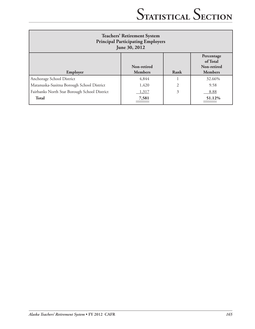| <b>Teachers' Retirement System</b><br><b>Principal Participating Employers</b><br>June 30, 2012 |                               |      |                                                         |  |  |  |
|-------------------------------------------------------------------------------------------------|-------------------------------|------|---------------------------------------------------------|--|--|--|
| Employer                                                                                        | Non-retired<br><b>Members</b> | Rank | Percentage<br>of Total<br>Non-retired<br><b>Members</b> |  |  |  |
| Anchorage School District                                                                       | 4,844                         |      | 32.66%                                                  |  |  |  |
| Matanuska-Susitna Borough School District                                                       | 1,420                         | 2    | 9.58                                                    |  |  |  |
| Fairbanks North Star Borough School District                                                    | 1,317                         | 3    | 8.88                                                    |  |  |  |
| <b>Total</b>                                                                                    | 7,581                         |      | 51.12%                                                  |  |  |  |